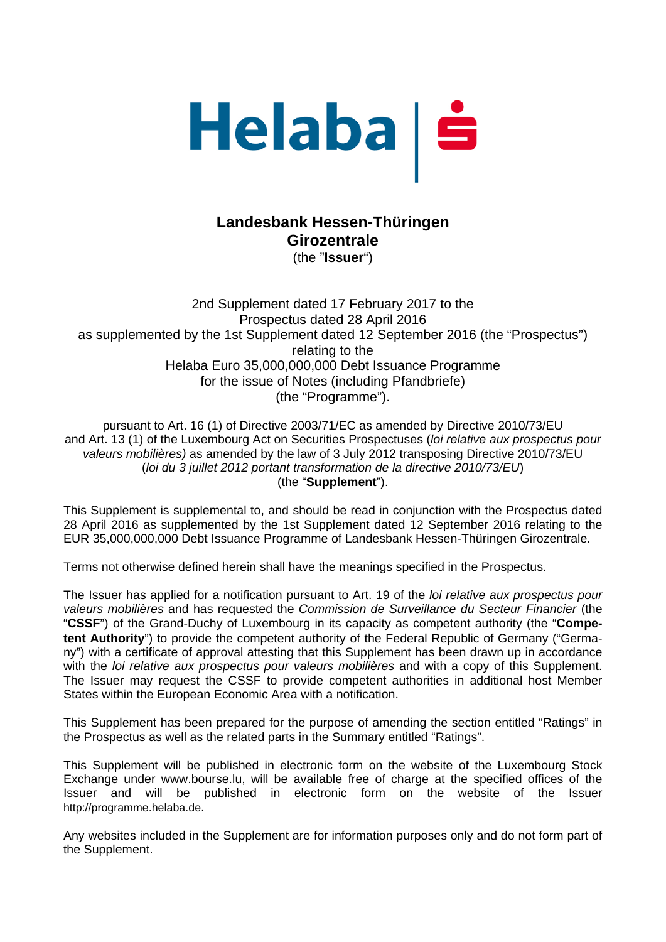

# **Landesbank Hessen-Thüringen Girozentrale**  (the "**Issuer**")

2nd Supplement dated 17 February 2017 to the Prospectus dated 28 April 2016 as supplemented by the 1st Supplement dated 12 September 2016 (the "Prospectus") relating to the Helaba Euro 35,000,000,000 Debt Issuance Programme for the issue of Notes (including Pfandbriefe) (the "Programme").

pursuant to Art. 16 (1) of Directive 2003/71/EC as amended by Directive 2010/73/EU and Art. 13 (1) of the Luxembourg Act on Securities Prospectuses (*loi relative aux prospectus pour valeurs mobilières)* as amended by the law of 3 July 2012 transposing Directive 2010/73/EU (*loi du 3 juillet 2012 portant transformation de la directive 2010/73/EU*) (the "**Supplement**").

This Supplement is supplemental to, and should be read in conjunction with the Prospectus dated 28 April 2016 as supplemented by the 1st Supplement dated 12 September 2016 relating to the EUR 35,000,000,000 Debt Issuance Programme of Landesbank Hessen-Thüringen Girozentrale.

Terms not otherwise defined herein shall have the meanings specified in the Prospectus.

The Issuer has applied for a notification pursuant to Art. 19 of the *loi relative aux prospectus pour valeurs mobilières* and has requested the *Commission de Surveillance du Secteur Financier* (the "**CSSF**") of the Grand-Duchy of Luxembourg in its capacity as competent authority (the "**Competent Authority**") to provide the competent authority of the Federal Republic of Germany ("Germany") with a certificate of approval attesting that this Supplement has been drawn up in accordance with the *loi relative aux prospectus pour valeurs mobilières* and with a copy of this Supplement. The Issuer may request the CSSF to provide competent authorities in additional host Member States within the European Economic Area with a notification.

This Supplement has been prepared for the purpose of amending the section entitled "Ratings" in the Prospectus as well as the related parts in the Summary entitled "Ratings".

This Supplement will be published in electronic form on the website of the Luxembourg Stock Exchange under www.bourse.lu, will be available free of charge at the specified offices of the Issuer and will be published in electronic form on the website of the Issuer http://programme.helaba.de.

Any websites included in the Supplement are for information purposes only and do not form part of the Supplement.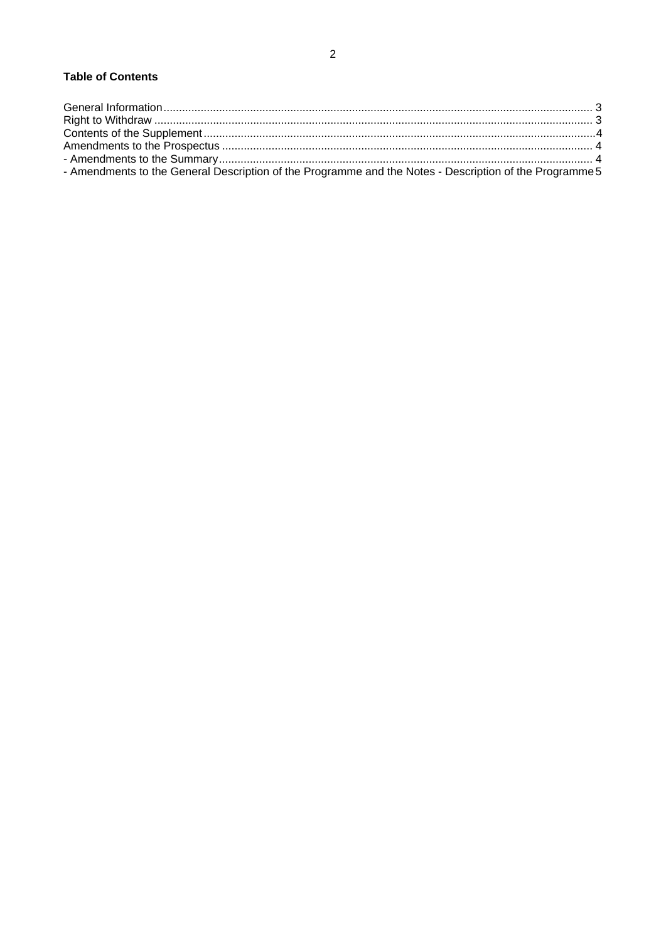| - Amendments to the General Description of the Programme and the Notes - Description of the Programme 5 |  |
|---------------------------------------------------------------------------------------------------------|--|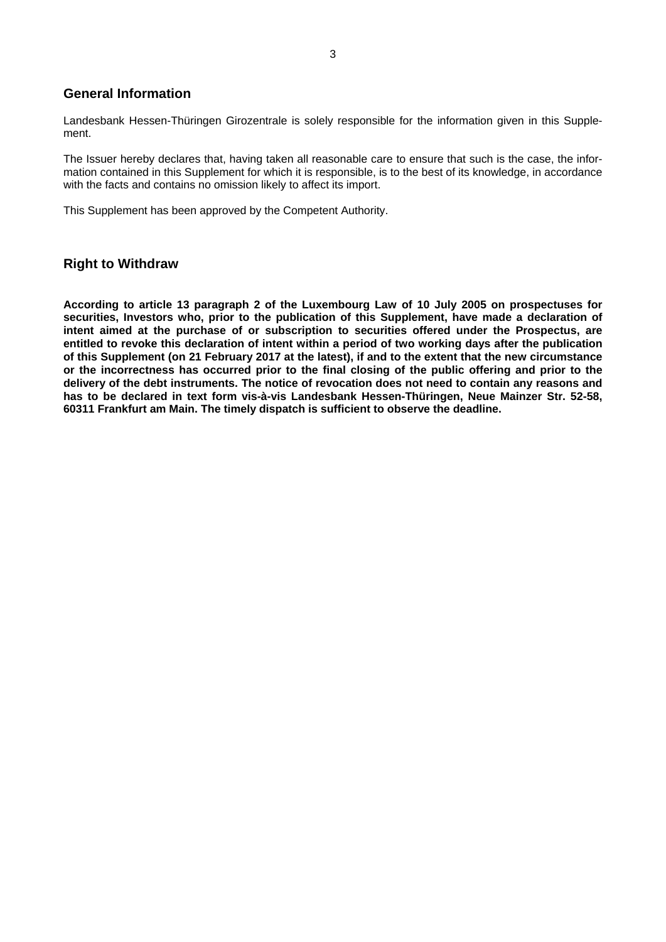### **General Information**

Landesbank Hessen-Thüringen Girozentrale is solely responsible for the information given in this Supplement.

The Issuer hereby declares that, having taken all reasonable care to ensure that such is the case, the information contained in this Supplement for which it is responsible, is to the best of its knowledge, in accordance with the facts and contains no omission likely to affect its import.

This Supplement has been approved by the Competent Authority.

### **Right to Withdraw**

**According to article 13 paragraph 2 of the Luxembourg Law of 10 July 2005 on prospectuses for securities, Investors who, prior to the publication of this Supplement, have made a declaration of intent aimed at the purchase of or subscription to securities offered under the Prospectus, are entitled to revoke this declaration of intent within a period of two working days after the publication of this Supplement (on 21 February 2017 at the latest), if and to the extent that the new circumstance or the incorrectness has occurred prior to the final closing of the public offering and prior to the delivery of the debt instruments. The notice of revocation does not need to contain any reasons and has to be declared in text form vis-à-vis Landesbank Hessen-Thüringen, Neue Mainzer Str. 52-58, 60311 Frankfurt am Main. The timely dispatch is sufficient to observe the deadline.**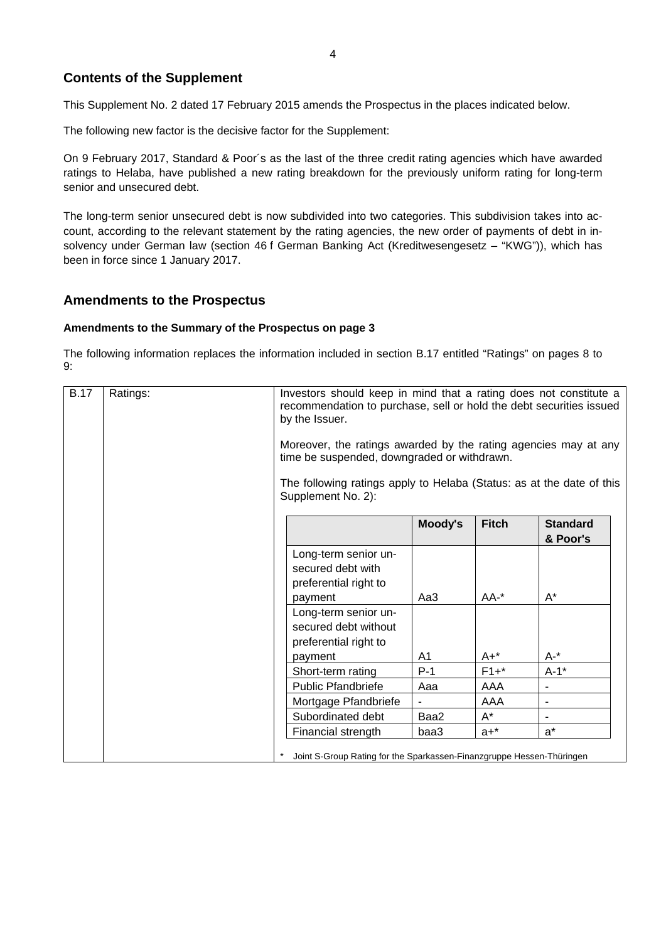## **Contents of the Supplement**

This Supplement No. 2 dated 17 February 2015 amends the Prospectus in the places indicated below.

The following new factor is the decisive factor for the Supplement:

On 9 February 2017, Standard & Poor´s as the last of the three credit rating agencies which have awarded ratings to Helaba, have published a new rating breakdown for the previously uniform rating for long-term senior and unsecured debt.

The long-term senior unsecured debt is now subdivided into two categories. This subdivision takes into account, according to the relevant statement by the rating agencies, the new order of payments of debt in insolvency under German law (section 46 f German Banking Act (Kreditwesengesetz – "KWG")), which has been in force since 1 January 2017.

### **Amendments to the Prospectus**

#### **Amendments to the Summary of the Prospectus on page 3**

The following information replaces the information included in section B.17 entitled "Ratings" on pages 8 to 9:

| <b>B.17</b> | Ratings: | Investors should keep in mind that a rating does not constitute a<br>recommendation to purchase, sell or hold the debt securities issued<br>by the Issuer.<br>Moreover, the ratings awarded by the rating agencies may at any<br>time be suspended, downgraded or withdrawn.<br>The following ratings apply to Helaba (Status: as at the date of this<br>Supplement No. 2): |         |              |                 |
|-------------|----------|-----------------------------------------------------------------------------------------------------------------------------------------------------------------------------------------------------------------------------------------------------------------------------------------------------------------------------------------------------------------------------|---------|--------------|-----------------|
|             |          |                                                                                                                                                                                                                                                                                                                                                                             | Moody's | <b>Fitch</b> | <b>Standard</b> |
|             |          |                                                                                                                                                                                                                                                                                                                                                                             |         |              | & Poor's        |
|             |          | Long-term senior un-<br>secured debt with<br>preferential right to                                                                                                                                                                                                                                                                                                          |         |              |                 |
|             |          | payment                                                                                                                                                                                                                                                                                                                                                                     | Aa3     | $AA^{-*}$    | $A^*$           |
|             |          | Long-term senior un-<br>secured debt without<br>preferential right to                                                                                                                                                                                                                                                                                                       |         |              |                 |
|             |          | payment                                                                                                                                                                                                                                                                                                                                                                     | A1      | $A+$ *       | $A -$ *         |
|             |          | Short-term rating                                                                                                                                                                                                                                                                                                                                                           | $P-1$   | $F1+$ *      | $A-1$ *         |
|             |          | <b>Public Pfandbriefe</b>                                                                                                                                                                                                                                                                                                                                                   | Aaa     | AAA          |                 |
|             |          | Mortgage Pfandbriefe                                                                                                                                                                                                                                                                                                                                                        |         | AAA          |                 |
|             |          | Subordinated debt                                                                                                                                                                                                                                                                                                                                                           | Baa2    | $A^*$        |                 |
|             |          | Financial strength                                                                                                                                                                                                                                                                                                                                                          | baa3    | $a + *$      | $a^*$           |
|             |          | Joint S-Group Rating for the Sparkassen-Finanzgruppe Hessen-Thüringen                                                                                                                                                                                                                                                                                                       |         |              |                 |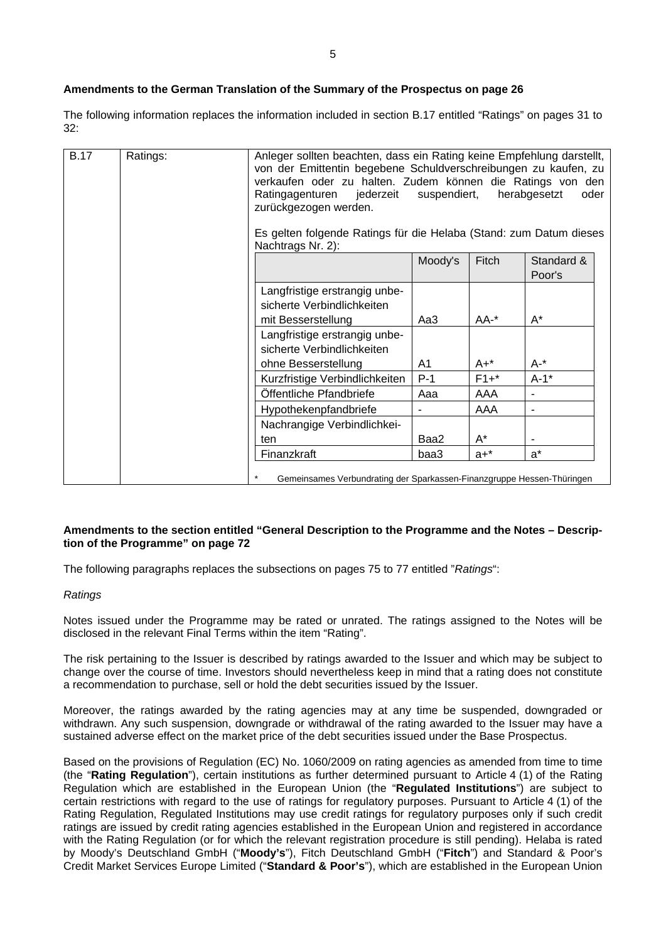#### **Amendments to the German Translation of the Summary of the Prospectus on page 26**

The following information replaces the information included in section B.17 entitled "Ratings" on pages 31 to 32:

| <b>B.17</b> | Ratings: | Anleger sollten beachten, dass ein Rating keine Empfehlung darstellt,<br>von der Emittentin begebene Schuldverschreibungen zu kaufen, zu<br>verkaufen oder zu halten. Zudem können die Ratings von den<br>jederzeit<br>suspendiert,<br>herabgesetzt<br>Ratingagenturen<br>oder<br>zurückgezogen werden.<br>Es gelten folgende Ratings für die Helaba (Stand: zum Datum dieses<br>Nachtrags Nr. 2): |                |         |                      |
|-------------|----------|----------------------------------------------------------------------------------------------------------------------------------------------------------------------------------------------------------------------------------------------------------------------------------------------------------------------------------------------------------------------------------------------------|----------------|---------|----------------------|
|             |          |                                                                                                                                                                                                                                                                                                                                                                                                    | Moody's        | Fitch   | Standard &<br>Poor's |
|             |          | Langfristige erstrangig unbe-<br>sicherte Verbindlichkeiten<br>mit Besserstellung                                                                                                                                                                                                                                                                                                                  | Aa3            | AA-*    | $A^*$                |
|             |          | Langfristige erstrangig unbe-<br>sicherte Verbindlichkeiten                                                                                                                                                                                                                                                                                                                                        |                |         |                      |
|             |          | ohne Besserstellung                                                                                                                                                                                                                                                                                                                                                                                | A <sub>1</sub> | $A+^*$  | $A -$ *              |
|             |          | Kurzfristige Verbindlichkeiten                                                                                                                                                                                                                                                                                                                                                                     | $P-1$          | $F1+$ * | $A-1$ *              |
|             |          | Öffentliche Pfandbriefe                                                                                                                                                                                                                                                                                                                                                                            | Aaa            | AAA     |                      |
|             |          | Hypothekenpfandbriefe                                                                                                                                                                                                                                                                                                                                                                              | ٠              | AAA     | $\blacksquare$       |
|             |          | Nachrangige Verbindlichkei-                                                                                                                                                                                                                                                                                                                                                                        |                |         |                      |
|             |          | ten                                                                                                                                                                                                                                                                                                                                                                                                | Baa2           | $A^*$   |                      |
|             |          | Finanzkraft                                                                                                                                                                                                                                                                                                                                                                                        | baa3           | $a+$ *  | $a^*$                |
|             |          | $\star$<br>Gemeinsames Verbundrating der Sparkassen-Finanzgruppe Hessen-Thüringen                                                                                                                                                                                                                                                                                                                  |                |         |                      |

#### **Amendments to the section entitled "General Description to the Programme and the Notes – Description of the Programme" on page 72**

The following paragraphs replaces the subsections on pages 75 to 77 entitled "*Ratings*":

#### *Ratings*

Notes issued under the Programme may be rated or unrated. The ratings assigned to the Notes will be disclosed in the relevant Final Terms within the item "Rating".

The risk pertaining to the Issuer is described by ratings awarded to the Issuer and which may be subject to change over the course of time. Investors should nevertheless keep in mind that a rating does not constitute a recommendation to purchase, sell or hold the debt securities issued by the Issuer.

Moreover, the ratings awarded by the rating agencies may at any time be suspended, downgraded or withdrawn. Any such suspension, downgrade or withdrawal of the rating awarded to the Issuer may have a sustained adverse effect on the market price of the debt securities issued under the Base Prospectus.

Based on the provisions of Regulation (EC) No. 1060/2009 on rating agencies as amended from time to time (the "**Rating Regulation**"), certain institutions as further determined pursuant to Article 4 (1) of the Rating Regulation which are established in the European Union (the "**Regulated Institutions**") are subject to certain restrictions with regard to the use of ratings for regulatory purposes. Pursuant to Article 4 (1) of the Rating Regulation, Regulated Institutions may use credit ratings for regulatory purposes only if such credit ratings are issued by credit rating agencies established in the European Union and registered in accordance with the Rating Regulation (or for which the relevant registration procedure is still pending). Helaba is rated by Moody's Deutschland GmbH ("**Moody's**"), Fitch Deutschland GmbH ("**Fitch**") and Standard & Poor's Credit Market Services Europe Limited ("**Standard & Poor's**"), which are established in the European Union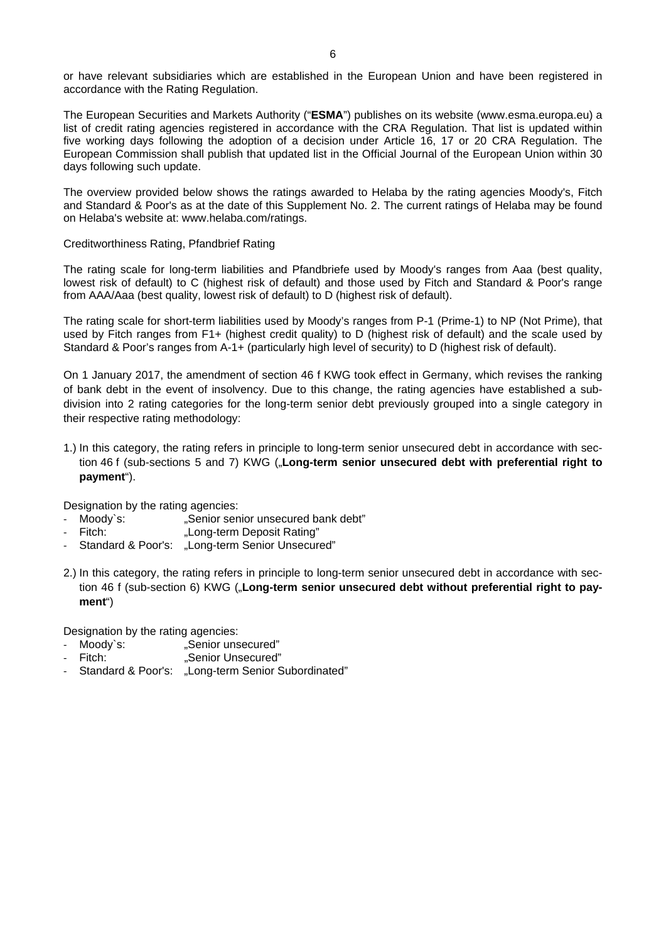or have relevant subsidiaries which are established in the European Union and have been registered in accordance with the Rating Regulation.

The European Securities and Markets Authority ("**ESMA**") publishes on its website (www.esma.europa.eu) a list of credit rating agencies registered in accordance with the CRA Regulation. That list is updated within five working days following the adoption of a decision under Article 16, 17 or 20 CRA Regulation. The European Commission shall publish that updated list in the Official Journal of the European Union within 30 days following such update.

The overview provided below shows the ratings awarded to Helaba by the rating agencies Moody's, Fitch and Standard & Poor's as at the date of this Supplement No. 2. The current ratings of Helaba may be found on Helaba's website at: www.helaba.com/ratings.

#### Creditworthiness Rating, Pfandbrief Rating

The rating scale for long-term liabilities and Pfandbriefe used by Moody's ranges from Aaa (best quality, lowest risk of default) to C (highest risk of default) and those used by Fitch and Standard & Poor's range from AAA/Aaa (best quality, lowest risk of default) to D (highest risk of default).

The rating scale for short-term liabilities used by Moody's ranges from P-1 (Prime-1) to NP (Not Prime), that used by Fitch ranges from F1+ (highest credit quality) to D (highest risk of default) and the scale used by Standard & Poor's ranges from A-1+ (particularly high level of security) to D (highest risk of default).

On 1 January 2017, the amendment of section 46 f KWG took effect in Germany, which revises the ranking of bank debt in the event of insolvency. Due to this change, the rating agencies have established a subdivision into 2 rating categories for the long-term senior debt previously grouped into a single category in their respective rating methodology:

1.) In this category, the rating refers in principle to long-term senior unsecured debt in accordance with section 46 f (sub-sections 5 and 7) KWG ("**Long-term senior unsecured debt with preferential right to payment**").

Designation by the rating agencies:

- Moody's: "Senior senior unsecured bank debt"
- Fitch: "Long-term Deposit Rating"
- Standard & Poor's: "Long-term Senior Unsecured"
- 2.) In this category, the rating refers in principle to long-term senior unsecured debt in accordance with section 46 f (sub-section 6) KWG ("**Long-term senior unsecured debt without preferential right to payment**")

Designation by the rating agencies:

- Moody`s:<br>
Fitch: "Senior Unsecured"<br>
Senior Unsecured"
- "Senior Unsecured"
- ‐ Standard & Poor's: "Long-term Senior Subordinated"